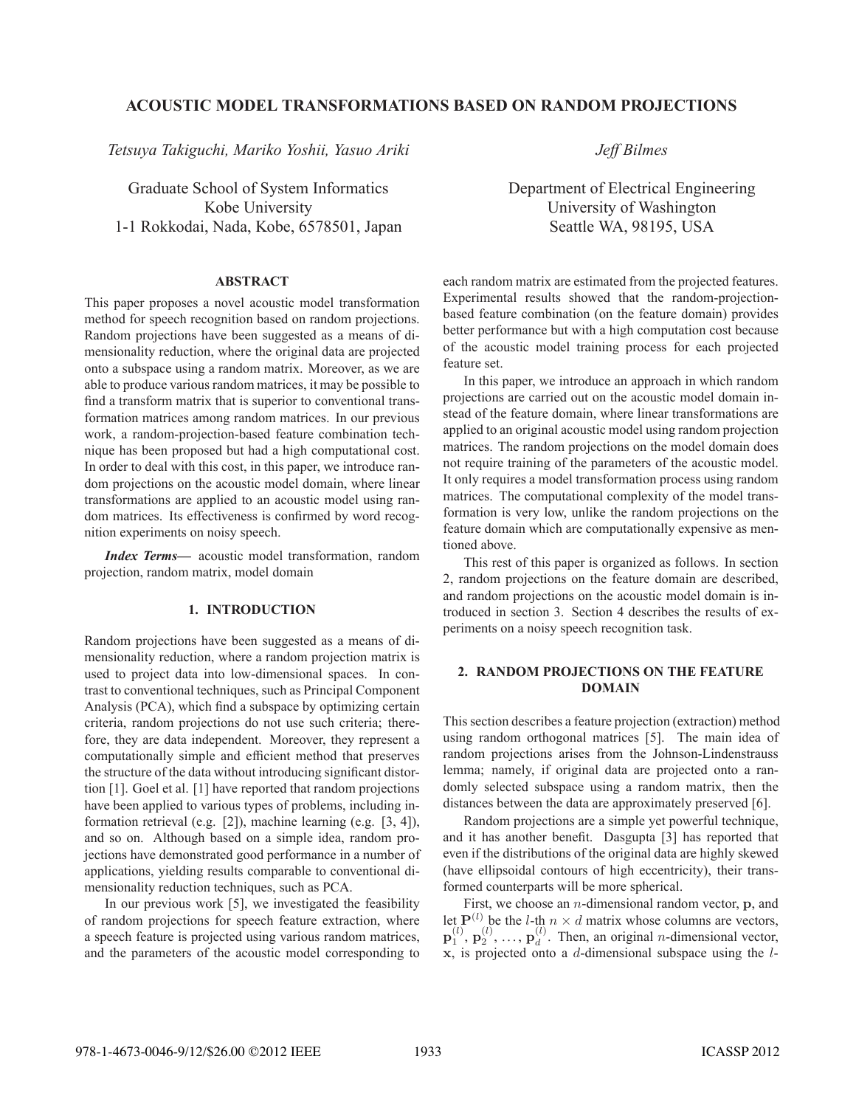# **ACOUSTIC MODEL TRANSFORMATIONS BASED ON RANDOM PROJECTIONS**

*Tetsuya Takiguchi, Mariko Yoshii, Yasuo Ariki*

Graduate School of System Informatics Kobe University 1-1 Rokkodai, Nada, Kobe, 6578501, Japan

## **ABSTRACT**

This paper proposes a novel acoustic model transformation method for speech recognition based on random projections. Random projections have been suggested as a means of dimensionality reduction, where the original data are projected onto a subspace using a random matrix. Moreover, as we are able to produce various random matrices, it may be possible to find a transform matrix that is superior to conventional transformation matrices among random matrices. In our previous work, a random-projection-based feature combination technique has been proposed but had a high computational cost. In order to deal with this cost, in this paper, we introduce random projections on the acoustic model domain, where linear transformations are applied to an acoustic model using random matrices. Its effectiveness is confirmed by word recognition experiments on noisy speech.

*Index Terms***—** acoustic model transformation, random projection, random matrix, model domain

## **1. INTRODUCTION**

Random projections have been suggested as a means of dimensionality reduction, where a random projection matrix is used to project data into low-dimensional spaces. In contrast to conventional techniques, such as Principal Component Analysis (PCA), which find a subspace by optimizing certain criteria, random projections do not use such criteria; therefore, they are data independent. Moreover, they represent a computationally simple and efficient method that preserves the structure of the data without introducing significant distortion [1]. Goel et al. [1] have reported that random projections have been applied to various types of problems, including information retrieval (e.g. [2]), machine learning (e.g. [3, 4]), and so on. Although based on a simple idea, random projections have demonstrated good performance in a number of applications, yielding results comparable to conventional dimensionality reduction techniques, such as PCA.

In our previous work [5], we investigated the feasibility of random projections for speech feature extraction, where a speech feature is projected using various random matrices, and the parameters of the acoustic model corresponding to *Jeff Bilmes*

Department of Electrical Engineering University of Washington Seattle WA, 98195, USA

each random matrix are estimated from the projected features. Experimental results showed that the random-projectionbased feature combination (on the feature domain) provides better performance but with a high computation cost because of the acoustic model training process for each projected feature set.

In this paper, we introduce an approach in which random projections are carried out on the acoustic model domain instead of the feature domain, where linear transformations are applied to an original acoustic model using random projection matrices. The random projections on the model domain does not require training of the parameters of the acoustic model. It only requires a model transformation process using random matrices. The computational complexity of the model transformation is very low, unlike the random projections on the feature domain which are computationally expensive as mentioned above.

This rest of this paper is organized as follows. In section 2, random projections on the feature domain are described, and random projections on the acoustic model domain is introduced in section 3. Section 4 describes the results of experiments on a noisy speech recognition task.

## **2. RANDOM PROJECTIONS ON THE FEATURE DOMAIN**

This section describes a feature projection (extraction) method using random orthogonal matrices [5]. The main idea of random projections arises from the Johnson-Lindenstrauss lemma; namely, if original data are projected onto a randomly selected subspace using a random matrix, then the distances between the data are approximately preserved [6].

Random projections are a simple yet powerful technique, and it has another benefit. Dasgupta [3] has reported that even if the distributions of the original data are highly skewed (have ellipsoidal contours of high eccentricity), their transformed counterparts will be more spherical.

First, we choose an *n*-dimensional random vector, **p**, and let  $P^{(l)}$  be the *l*-th  $n \times d$  matrix whose columns are vectors,  $\mathbf{p}_1^{(l)}$ ,  $\mathbf{p}_2^{(l)}$ , ...,  $\mathbf{p}_d^{(l)}$ . Then, an original *n*-dimensional vector, **x**, is projected onto a *d*-dimensional subspace using the *l*-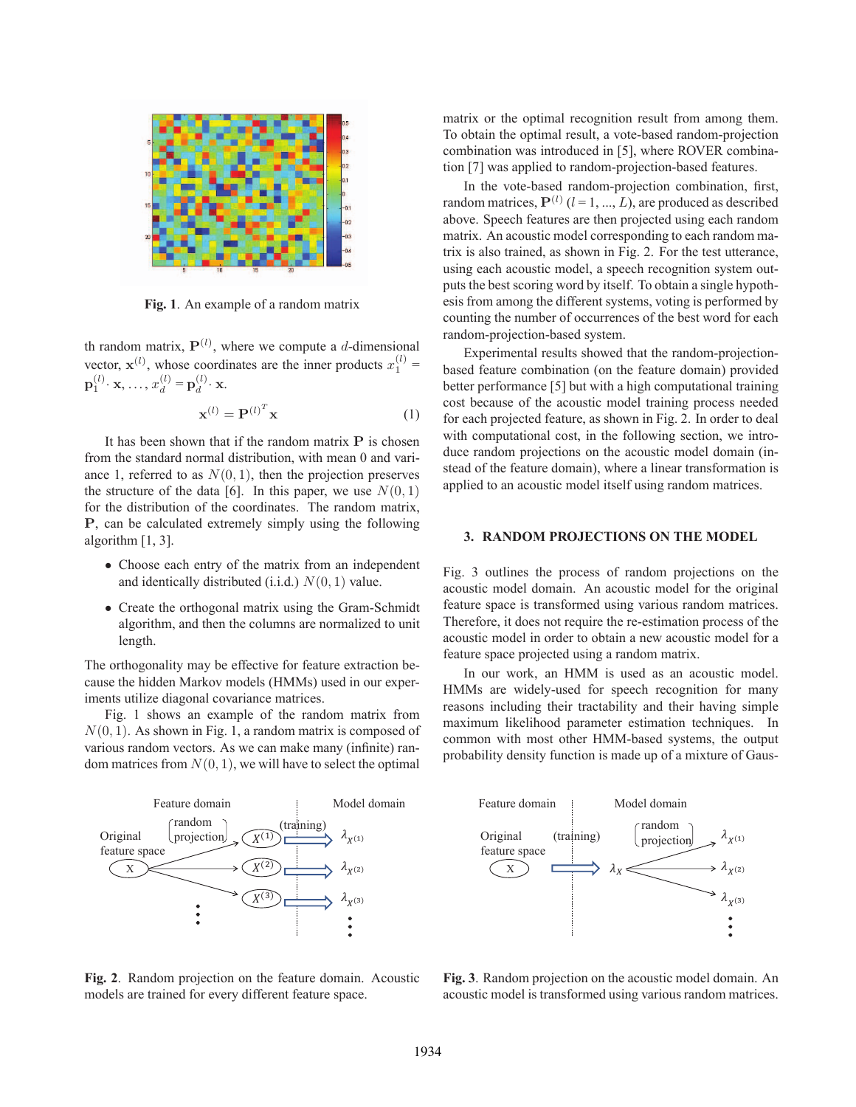

**Fig. 1**. An example of a random matrix

th random matrix,  $P^{(l)}$ , where we compute a *d*-dimensional vector,  $\mathbf{x}^{(l)}$ , whose coordinates are the inner products  $x_1^{(l)}$  =  $\mathbf{p}_1^{(l)} \cdot \mathbf{x}, \ldots, x_d^{(l)} = \mathbf{p}_d^{(l)} \cdot \mathbf{x}.$ 

$$
\mathbf{x}^{(l)} = \mathbf{P}^{(l)^T} \mathbf{x} \tag{1}
$$

It has been shown that if the random matrix **P** is chosen from the standard normal distribution, with mean 0 and variance 1, referred to as  $N(0, 1)$ , then the projection preserves the structure of the data [6]. In this paper, we use  $N(0, 1)$ for the distribution of the coordinates. The random matrix, **P**, can be calculated extremely simply using the following algorithm [1, 3].

- Choose each entry of the matrix from an independent and identically distributed (i.i.d.)  $N(0, 1)$  value.
- Create the orthogonal matrix using the Gram-Schmidt algorithm, and then the columns are normalized to unit length.

The orthogonality may be effective for feature extraction because the hidden Markov models (HMMs) used in our experiments utilize diagonal covariance matrices.

Fig. 1 shows an example of the random matrix from *N*(0*,* 1). As shown in Fig. 1, a random matrix is composed of various random vectors. As we can make many (infinite) random matrices from  $N(0, 1)$ , we will have to select the optimal



**Fig. 2**. Random projection on the feature domain. Acoustic models are trained for every different feature space.

matrix or the optimal recognition result from among them. To obtain the optimal result, a vote-based random-projection combination was introduced in [5], where ROVER combination [7] was applied to random-projection-based features.

In the vote-based random-projection combination, first, random matrices,  $\mathbf{P}^{(l)}$  ( $l = 1, ..., L$ ), are produced as described above. Speech features are then projected using each random matrix. An acoustic model corresponding to each random matrix is also trained, as shown in Fig. 2. For the test utterance, using each acoustic model, a speech recognition system outputs the best scoring word by itself. To obtain a single hypothesis from among the different systems, voting is performed by counting the number of occurrences of the best word for each random-projection-based system.

Experimental results showed that the random-projectionbased feature combination (on the feature domain) provided better performance [5] but with a high computational training cost because of the acoustic model training process needed for each projected feature, as shown in Fig. 2. In order to deal with computational cost, in the following section, we introduce random projections on the acoustic model domain (instead of the feature domain), where a linear transformation is applied to an acoustic model itself using random matrices.

## **3. RANDOM PROJECTIONS ON THE MODEL**

Fig. 3 outlines the process of random projections on the acoustic model domain. An acoustic model for the original feature space is transformed using various random matrices. Therefore, it does not require the re-estimation process of the acoustic model in order to obtain a new acoustic model for a feature space projected using a random matrix.

In our work, an HMM is used as an acoustic model. HMMs are widely-used for speech recognition for many reasons including their tractability and their having simple maximum likelihood parameter estimation techniques. In common with most other HMM-based systems, the output probability density function is made up of a mixture of Gaus-



**Fig. 3**. Random projection on the acoustic model domain. An acoustic model is transformed using various random matrices.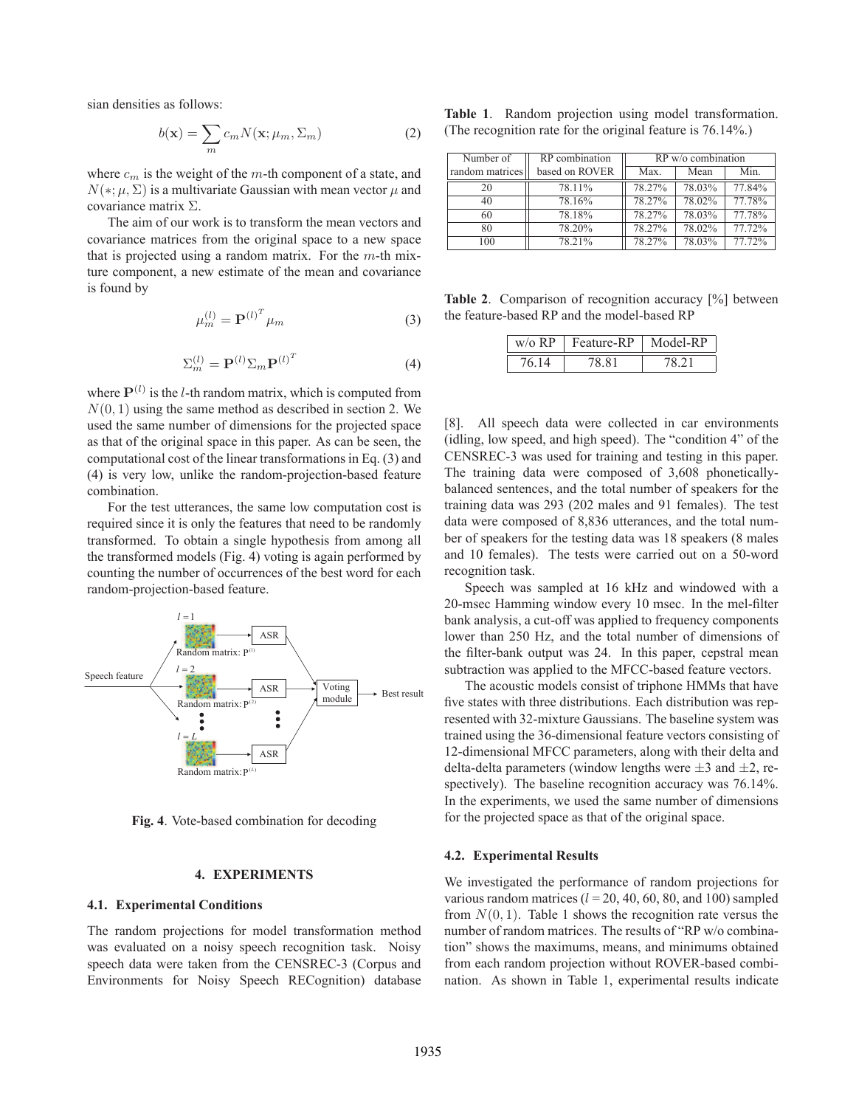sian densities as follows:

$$
b(\mathbf{x}) = \sum_{m} c_m N(\mathbf{x}; \mu_m, \Sigma_m)
$$
 (2)

where *c<sup>m</sup>* is the weight of the *m*-th component of a state, and  $N(*; \mu, \Sigma)$  is a multivariate Gaussian with mean vector  $\mu$  and covariance matrix Σ.

The aim of our work is to transform the mean vectors and covariance matrices from the original space to a new space that is projected using a random matrix. For the *m*-th mixture component, a new estimate of the mean and covariance is found by

$$
\mu_m^{(l)} = \mathbf{P}^{(l)^T} \mu_m \tag{3}
$$

$$
\Sigma_m^{(l)} = \mathbf{P}^{(l)} \Sigma_m \mathbf{P}^{(l)^T} \tag{4}
$$

where  $P^{(l)}$  is the *l*-th random matrix, which is computed from  $N(0, 1)$  using the same method as described in section 2. We used the same number of dimensions for the projected space as that of the original space in this paper. As can be seen, the computational cost of the linear transformations in Eq. (3) and (4) is very low, unlike the random-projection-based feature combination.

For the test utterances, the same low computation cost is required since it is only the features that need to be randomly transformed. To obtain a single hypothesis from among all the transformed models (Fig. 4) voting is again performed by counting the number of occurrences of the best word for each random-projection-based feature.



**Fig. 4**. Vote-based combination for decoding

## **4. EXPERIMENTS**

# **4.1. Experimental Conditions**

The random projections for model transformation method was evaluated on a noisy speech recognition task. Noisy speech data were taken from the CENSREC-3 (Corpus and Environments for Noisy Speech RECognition) database

**Table 1**. Random projection using model transformation. (The recognition rate for the original feature is 76.14%.)

| Number of       | RP combination | $RP$ w/o combination |        |        |
|-----------------|----------------|----------------------|--------|--------|
| random matrices | based on ROVER | Max.                 | Mean   | Min.   |
| 20              | 78.11%         | 78.27%               | 78.03% | 77.84% |
| 40              | 78.16%         | 78.27%               | 78.02% | 77.78% |
| 60              | 78.18%         | 78.27%               | 78.03% | 77.78% |
| 80              | 78.20%         | 78.27%               | 78.02% | 77.72% |
| 100             | 78.21%         | 78.27%               | 78.03% | 77.72% |

**Table 2**. Comparison of recognition accuracy [%] between the feature-based RP and the model-based RP

| $W$ RP | Feature-RP | $\blacksquare$ Model-RP |
|--------|------------|-------------------------|
| 761.   | ିହ         | ×∴                      |

[8]. All speech data were collected in car environments (idling, low speed, and high speed). The "condition 4" of the CENSREC-3 was used for training and testing in this paper. The training data were composed of 3,608 phoneticallybalanced sentences, and the total number of speakers for the training data was 293 (202 males and 91 females). The test data were composed of 8,836 utterances, and the total number of speakers for the testing data was 18 speakers (8 males and 10 females). The tests were carried out on a 50-word recognition task.

Speech was sampled at 16 kHz and windowed with a 20-msec Hamming window every 10 msec. In the mel-filter bank analysis, a cut-off was applied to frequency components lower than 250 Hz, and the total number of dimensions of the filter-bank output was 24. In this paper, cepstral mean subtraction was applied to the MFCC-based feature vectors.

The acoustic models consist of triphone HMMs that have five states with three distributions. Each distribution was represented with 32-mixture Gaussians. The baseline system was trained using the 36-dimensional feature vectors consisting of 12-dimensional MFCC parameters, along with their delta and delta-delta parameters (window lengths were  $\pm 3$  and  $\pm 2$ , respectively). The baseline recognition accuracy was 76.14%. In the experiments, we used the same number of dimensions for the projected space as that of the original space.

#### **4.2. Experimental Results**

We investigated the performance of random projections for various random matrices  $(l = 20, 40, 60, 80,$  and 100) sampled from  $N(0, 1)$ . Table 1 shows the recognition rate versus the number of random matrices. The results of "RP w/o combination" shows the maximums, means, and minimums obtained from each random projection without ROVER-based combination. As shown in Table 1, experimental results indicate